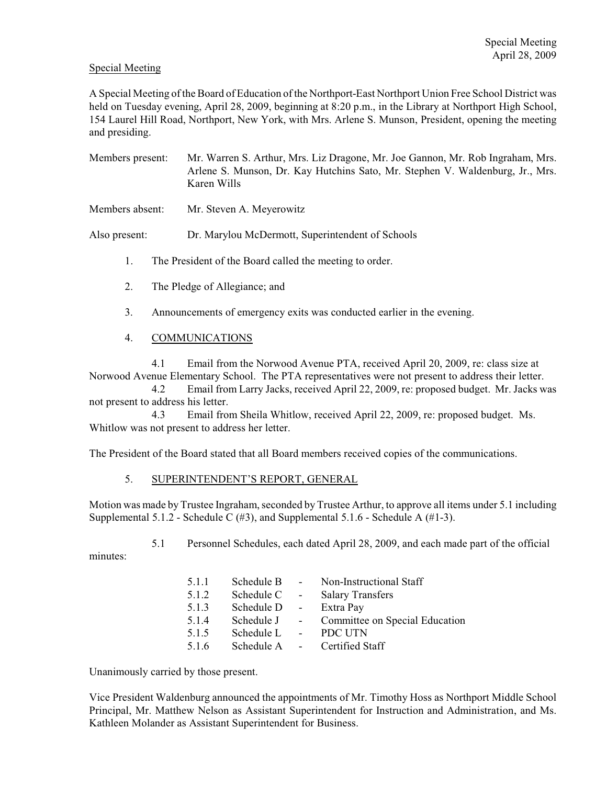## Special Meeting

A Special Meeting of the Board of Education of the Northport-East Northport Union Free School District was held on Tuesday evening, April 28, 2009, beginning at 8:20 p.m., in the Library at Northport High School, 154 Laurel Hill Road, Northport, New York, with Mrs. Arlene S. Munson, President, opening the meeting and presiding.

- Members present: Mr. Warren S. Arthur, Mrs. Liz Dragone, Mr. Joe Gannon, Mr. Rob Ingraham, Mrs. Arlene S. Munson, Dr. Kay Hutchins Sato, Mr. Stephen V. Waldenburg, Jr., Mrs. Karen Wills
- Members absent: Mr. Steven A. Meyerowitz

Also present: Dr. Marylou McDermott, Superintendent of Schools

- 1. The President of the Board called the meeting to order.
- 2. The Pledge of Allegiance; and
- 3. Announcements of emergency exits was conducted earlier in the evening.
- 4. COMMUNICATIONS

4.1 Email from the Norwood Avenue PTA, received April 20, 2009, re: class size at Norwood Avenue Elementary School. The PTA representatives were not present to address their letter.

4.2 Email from Larry Jacks, received April 22, 2009, re: proposed budget. Mr. Jacks was not present to address his letter.

4.3 Email from Sheila Whitlow, received April 22, 2009, re: proposed budget. Ms. Whitlow was not present to address her letter.

The President of the Board stated that all Board members received copies of the communications.

## 5. SUPERINTENDENT'S REPORT, GENERAL

Motion was made by Trustee Ingraham, seconded by Trustee Arthur, to approve all items under 5.1 including Supplemental 5.1.2 - Schedule C  $(\#3)$ , and Supplemental 5.1.6 - Schedule A  $(\#1-3)$ .

5.1 Personnel Schedules, each dated April 28, 2009, and each made part of the official

minutes:

| 5.1.1 | Schedule B | $\sim 100$      | Non-Instructional Staff        |
|-------|------------|-----------------|--------------------------------|
| 5.1.2 | Schedule C | $\sim 10^{-10}$ | <b>Salary Transfers</b>        |
| 5.1.3 | Schedule D | $\sim 100$      | Extra Pay                      |
| 5.1.4 | Schedule J | $\sim 10^{-11}$ | Committee on Special Education |
| 5.1.5 | Schedule L |                 | PDC UTN                        |
| 5.1.6 | Schedule A |                 | - Certified Staff              |

Unanimously carried by those present.

Vice President Waldenburg announced the appointments of Mr. Timothy Hoss as Northport Middle School Principal, Mr. Matthew Nelson as Assistant Superintendent for Instruction and Administration, and Ms. Kathleen Molander as Assistant Superintendent for Business.